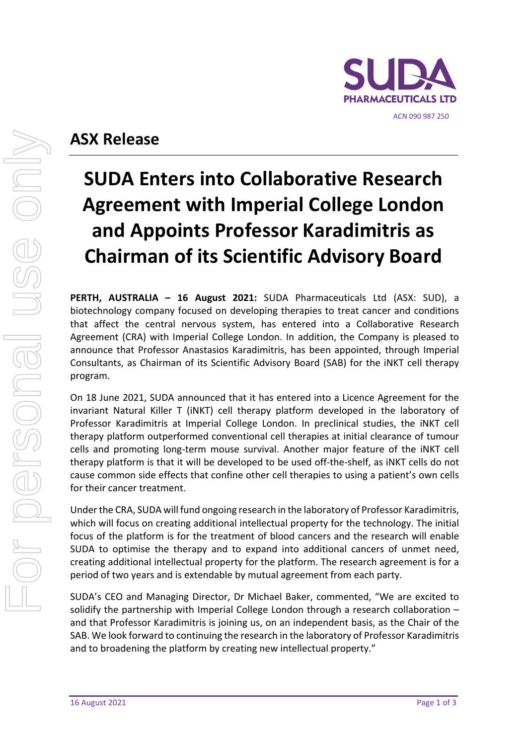

# **ASX Release**

# **SUDA Enters into Collaborative Research Agreement with Imperial College London and Appoints Professor Karadimitris as Chairman of its Scientific Advisory Board**

**PERTH, AUSTRALIA – 16 August 2021:** SUDA Pharmaceuticals Ltd (ASX: SUD), a biotechnology company focused on developing therapies to treat cancer and conditions that affect the central nervous system, has entered into a Collaborative Research Agreement (CRA) with Imperial College London. In addition, the Company is pleased to announce that Professor Anastasios Karadimitris, has been appointed, through Imperial Consultants, as Chairman of its Scientific Advisory Board (SAB) for the iNKT cell therapy program.

On 18 June 2021, SUDA announced that it has entered into a Licence Agreement for the invariant Natural Killer T (iNKT) cell therapy platform developed in the laboratory of Professor Karadimitris at Imperial College London. In preclinical studies, the iNKT cell therapy platform outperformed conventional cell therapies at initial clearance of tumour cells and promoting long‐term mouse survival. Another major feature of the iNKT cell therapy platform is that it will be developed to be used off‐the‐shelf, as iNKT cells do not cause common side effects that confine other cell therapies to using a patient's own cells for their cancer treatment.

Under the CRA, SUDA will fund ongoing research in the laboratory of Professor Karadimitris, which will focus on creating additional intellectual property for the technology. The initial focus of the platform is for the treatment of blood cancers and the research will enable SUDA to optimise the therapy and to expand into additional cancers of unmet need, creating additional intellectual property for the platform. The research agreement is for a period of two years and is extendable by mutual agreement from each party.

SUDA's CEO and Managing Director, Dr Michael Baker, commented, "We are excited to solidify the partnership with Imperial College London through a research collaboration – and that Professor Karadimitris is joining us, on an independent basis, as the Chair of the SAB. We look forward to continuing the research in the laboratory of Professor Karadimitris and to broadening the platform by creating new intellectual property."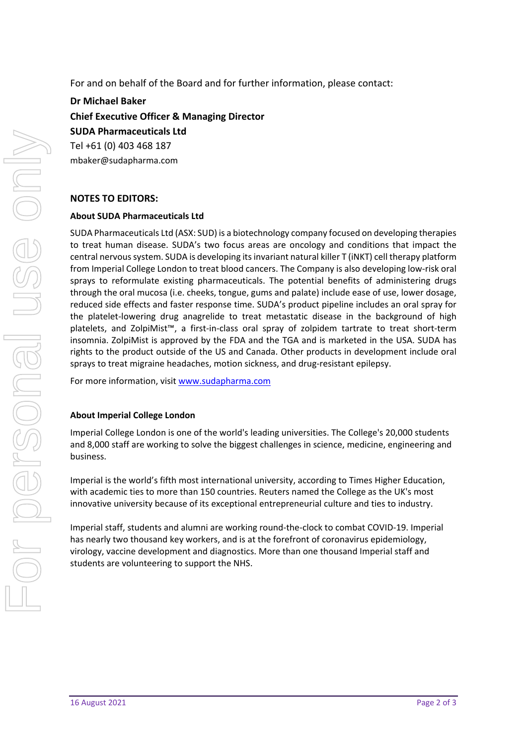For and on behalf of the Board and for further information, please contact:

**Dr Michael Baker Chief Executive Officer & Managing Director SUDA Pharmaceuticals Ltd** Tel +61 (0) 403 468 187 mbaker@sudapharma.com

## **NOTES TO EDITORS:**

### **About SUDA Pharmaceuticals Ltd**

SUDA Pharmaceuticals Ltd (ASX: SUD) is a biotechnology company focused on developing therapies to treat human disease. SUDA's two focus areas are oncology and conditions that impact the central nervous system. SUDA is developing its invariant natural killer T (iNKT) cell therapy platform from Imperial College London to treat blood cancers. The Company is also developing low‐risk oral sprays to reformulate existing pharmaceuticals. The potential benefits of administering drugs through the oral mucosa (i.e. cheeks, tongue, gums and palate) include ease of use, lower dosage, reduced side effects and faster response time. SUDA's product pipeline includes an oral spray for the platelet‐lowering drug anagrelide to treat metastatic disease in the background of high platelets, and ZolpiMist™, a first-in-class oral spray of zolpidem tartrate to treat short-term insomnia. ZolpiMist is approved by the FDA and the TGA and is marketed in the USA. SUDA has rights to the product outside of the US and Canada. Other products in development include oral sprays to treat migraine headaches, motion sickness, and drug-resistant epilepsy.

For more information, visit www.sudapharma.com

#### **About Imperial College London**

Imperial College London is one of the world's leading universities. The College's 20,000 students and 8,000 staff are working to solve the biggest challenges in science, medicine, engineering and business.

Imperial is the world's fifth most international university, according to Times Higher Education, with academic ties to more than 150 countries. Reuters named the College as the UK's most innovative university because of its exceptional entrepreneurial culture and ties to industry.

Imperial staff, students and alumni are working round‐the‐clock to combat COVID‐19. Imperial has nearly two thousand key workers, and is at the forefront of coronavirus epidemiology, virology, vaccine development and diagnostics. More than one thousand Imperial staff and students are volunteering to support the NHS.